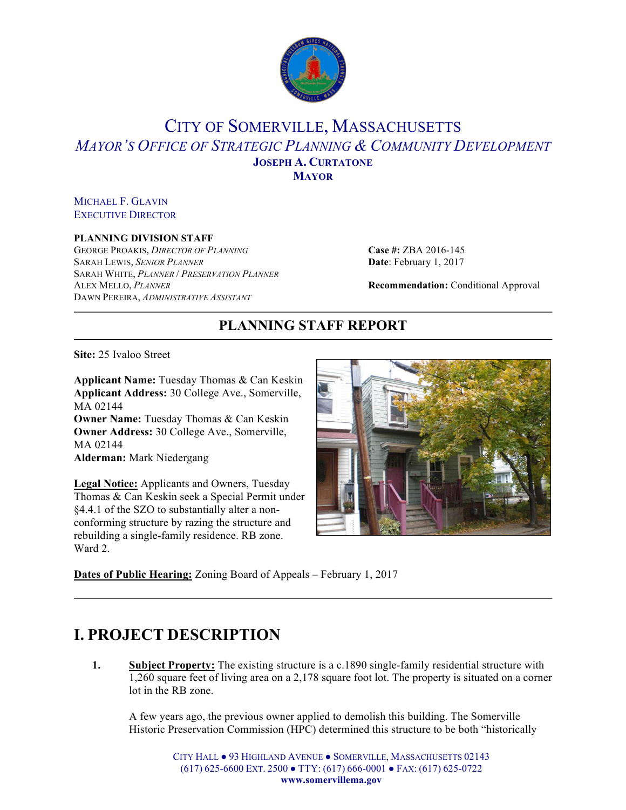

### CITY OF SOMERVILLE, MASSACHUSETTS *MAYOR'S OFFICE OF STRATEGIC PLANNING & COMMUNITY DEVELOPMENT* **JOSEPH A. CURTATONE MAYOR**

MICHAEL F. GLAVIN EXECUTIVE DIRECTOR

#### **PLANNING DIVISION STAFF**

GEORGE PROAKIS, *DIRECTOR OF PLANNING* **Case #:** ZBA 2016-145 SARAH LEWIS, *SENIOR PLANNER* **Date**: February 1, 2017 SARAH WHITE, *PLANNER* / *PRESERVATION PLANNER* ALEX MELLO, *PLANNER* **Recommendation:** Conditional Approval DAWN PEREIRA, *ADMINISTRATIVE ASSISTANT*

### **PLANNING STAFF REPORT**

**Site:** 25 Ivaloo Street

**Applicant Name:** Tuesday Thomas & Can Keskin **Applicant Address:** 30 College Ave., Somerville, MA 02144 **Owner Name:** Tuesday Thomas & Can Keskin **Owner Address:** 30 College Ave., Somerville, MA 02144 **Alderman:** Mark Niedergang

**Legal Notice:** Applicants and Owners, Tuesday Thomas & Can Keskin seek a Special Permit under §4.4.1 of the SZO to substantially alter a nonconforming structure by razing the structure and rebuilding a single-family residence. RB zone. Ward 2.



**Dates of Public Hearing:** Zoning Board of Appeals – February 1, 2017

## **I. PROJECT DESCRIPTION**

**1. Subject Property:** The existing structure is a c.1890 single-family residential structure with 1,260 square feet of living area on a 2,178 square foot lot. The property is situated on a corner lot in the RB zone.

A few years ago, the previous owner applied to demolish this building. The Somerville Historic Preservation Commission (HPC) determined this structure to be both "historically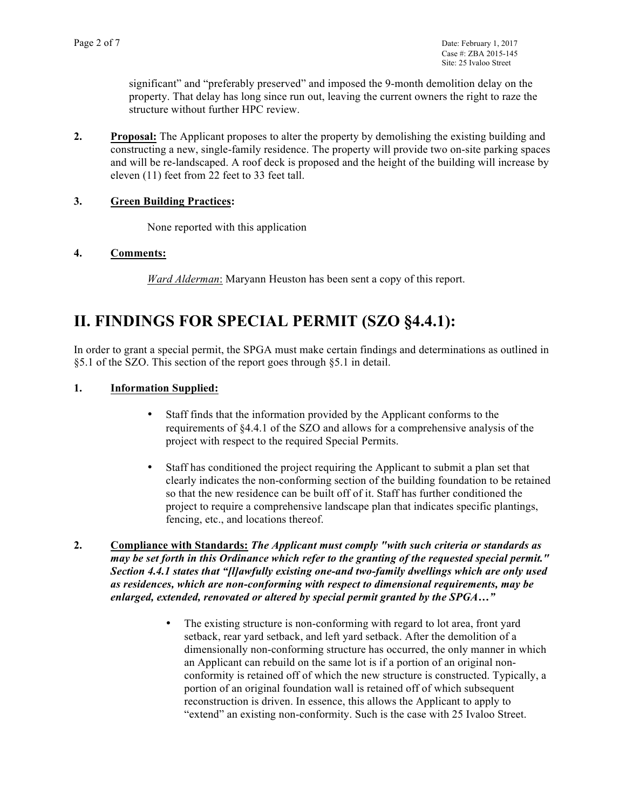significant" and "preferably preserved" and imposed the 9-month demolition delay on the property. That delay has long since run out, leaving the current owners the right to raze the structure without further HPC review.

**2. Proposal:** The Applicant proposes to alter the property by demolishing the existing building and constructing a new, single-family residence. The property will provide two on-site parking spaces and will be re-landscaped. A roof deck is proposed and the height of the building will increase by eleven (11) feet from 22 feet to 33 feet tall.

### **3. Green Building Practices:**

None reported with this application

#### **4. Comments:**

*Ward Alderman*: Maryann Heuston has been sent a copy of this report.

## **II. FINDINGS FOR SPECIAL PERMIT (SZO §4.4.1):**

In order to grant a special permit, the SPGA must make certain findings and determinations as outlined in §5.1 of the SZO. This section of the report goes through §5.1 in detail.

### **1. Information Supplied:**

- Staff finds that the information provided by the Applicant conforms to the requirements of §4.4.1 of the SZO and allows for a comprehensive analysis of the project with respect to the required Special Permits.
- Staff has conditioned the project requiring the Applicant to submit a plan set that clearly indicates the non-conforming section of the building foundation to be retained so that the new residence can be built off of it. Staff has further conditioned the project to require a comprehensive landscape plan that indicates specific plantings, fencing, etc., and locations thereof.
- **2. Compliance with Standards:** *The Applicant must comply "with such criteria or standards as may be set forth in this Ordinance which refer to the granting of the requested special permit." Section 4.4.1 states that "[l]awfully existing one-and two-family dwellings which are only used as residences, which are non-conforming with respect to dimensional requirements, may be enlarged, extended, renovated or altered by special permit granted by the SPGA…"*
	- The existing structure is non-conforming with regard to lot area, front yard setback, rear yard setback, and left yard setback. After the demolition of a dimensionally non-conforming structure has occurred, the only manner in which an Applicant can rebuild on the same lot is if a portion of an original nonconformity is retained off of which the new structure is constructed. Typically, a portion of an original foundation wall is retained off of which subsequent reconstruction is driven. In essence, this allows the Applicant to apply to "extend" an existing non-conformity. Such is the case with 25 Ivaloo Street.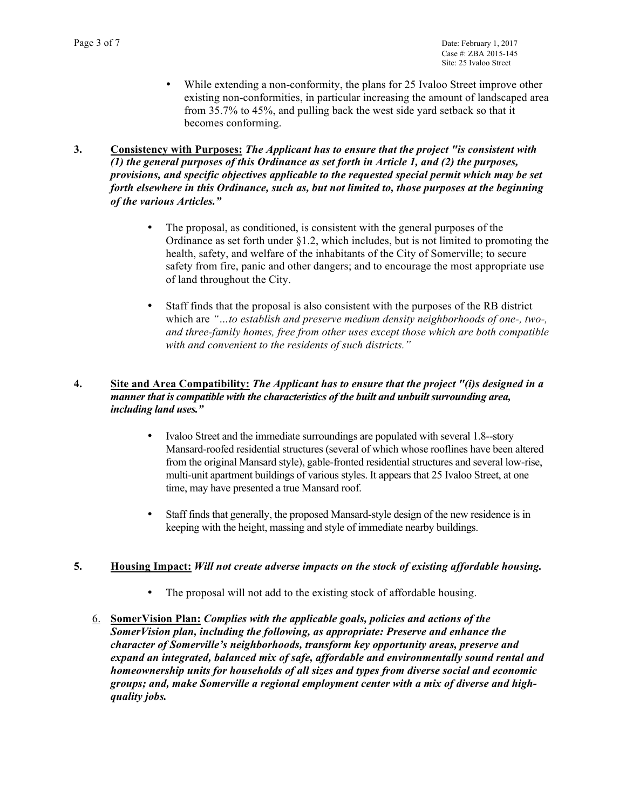- While extending a non-conformity, the plans for 25 Ivaloo Street improve other existing non-conformities, in particular increasing the amount of landscaped area from 35.7% to 45%, and pulling back the west side yard setback so that it becomes conforming.
- **3. Consistency with Purposes:** *The Applicant has to ensure that the project "is consistent with (1) the general purposes of this Ordinance as set forth in Article 1, and (2) the purposes, provisions, and specific objectives applicable to the requested special permit which may be set forth elsewhere in this Ordinance, such as, but not limited to, those purposes at the beginning of the various Articles."* 
	- The proposal, as conditioned, is consistent with the general purposes of the Ordinance as set forth under  $\S 1.2$ , which includes, but is not limited to promoting the health, safety, and welfare of the inhabitants of the City of Somerville; to secure safety from fire, panic and other dangers; and to encourage the most appropriate use of land throughout the City.
	- Staff finds that the proposal is also consistent with the purposes of the RB district which are *"…to establish and preserve medium density neighborhoods of one-, two-, and three-family homes, free from other uses except those which are both compatible with and convenient to the residents of such districts."*

### **4. Site and Area Compatibility:** *The Applicant has to ensure that the project "(i)s designed in a manner that is compatible with the characteristics of the built and unbuilt surrounding area, including land uses."*

- Ivaloo Street and the immediate surroundings are populated with several 1.8--story Mansard-roofed residential structures (several of which whose rooflines have been altered from the original Mansard style), gable-fronted residential structures and several low-rise, multi-unit apartment buildings of various styles. It appears that 25 Ivaloo Street, at one time, may have presented a true Mansard roof.
- Staff finds that generally, the proposed Mansard-style design of the new residence is in keeping with the height, massing and style of immediate nearby buildings.

### **5. Housing Impact:** *Will not create adverse impacts on the stock of existing affordable housing.*

- The proposal will not add to the existing stock of affordable housing.
- 6. **SomerVision Plan:** *Complies with the applicable goals, policies and actions of the SomerVision plan, including the following, as appropriate: Preserve and enhance the character of Somerville's neighborhoods, transform key opportunity areas, preserve and expand an integrated, balanced mix of safe, affordable and environmentally sound rental and homeownership units for households of all sizes and types from diverse social and economic groups; and, make Somerville a regional employment center with a mix of diverse and highquality jobs.*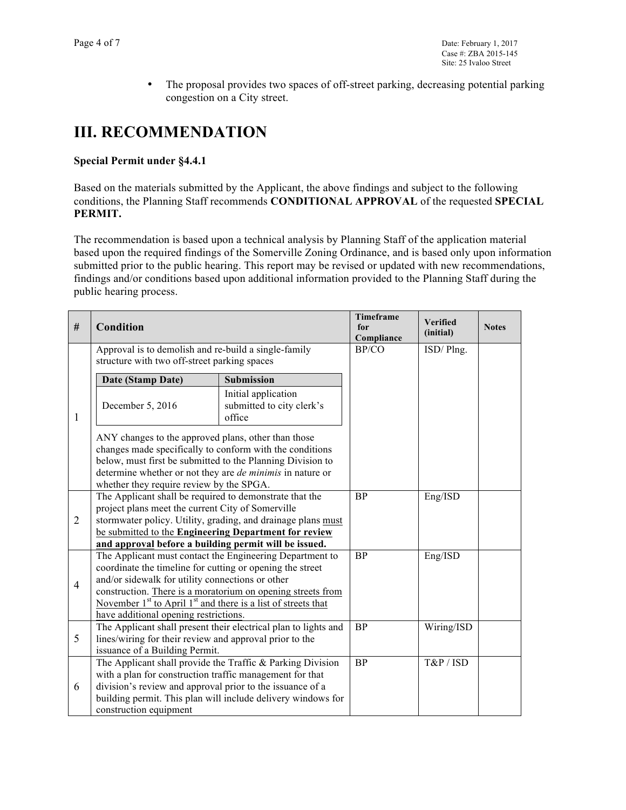• The proposal provides two spaces of off-street parking, decreasing potential parking congestion on a City street.

# **III. RECOMMENDATION**

### **Special Permit under §4.4.1**

Based on the materials submitted by the Applicant, the above findings and subject to the following conditions, the Planning Staff recommends **CONDITIONAL APPROVAL** of the requested **SPECIAL PERMIT.** 

The recommendation is based upon a technical analysis by Planning Staff of the application material based upon the required findings of the Somerville Zoning Ordinance, and is based only upon information submitted prior to the public hearing. This report may be revised or updated with new recommendations, findings and/or conditions based upon additional information provided to the Planning Staff during the public hearing process.

| #                   | Condition                                                                                                                                                                                                                                                                                                                                                                                                       |                                                                                                                            | Timeframe<br>for<br>Compliance | <b>Verified</b><br>(initial) | <b>Notes</b> |
|---------------------|-----------------------------------------------------------------------------------------------------------------------------------------------------------------------------------------------------------------------------------------------------------------------------------------------------------------------------------------------------------------------------------------------------------------|----------------------------------------------------------------------------------------------------------------------------|--------------------------------|------------------------------|--------------|
| 1<br>$\overline{2}$ | Approval is to demolish and re-build a single-family<br>structure with two off-street parking spaces                                                                                                                                                                                                                                                                                                            |                                                                                                                            | BP/CO                          | ISD/Plng.                    |              |
|                     | Date (Stamp Date)                                                                                                                                                                                                                                                                                                                                                                                               | <b>Submission</b>                                                                                                          |                                |                              |              |
|                     | December 5, 2016                                                                                                                                                                                                                                                                                                                                                                                                | Initial application<br>submitted to city clerk's<br>office                                                                 |                                |                              |              |
|                     | ANY changes to the approved plans, other than those<br>changes made specifically to conform with the conditions<br>below, must first be submitted to the Planning Division to<br>determine whether or not they are <i>de minimis</i> in nature or<br>whether they require review by the SPGA.                                                                                                                   |                                                                                                                            |                                |                              |              |
|                     | The Applicant shall be required to demonstrate that the<br>project plans meet the current City of Somerville<br>stormwater policy. Utility, grading, and drainage plans must<br>be submitted to the Engineering Department for review                                                                                                                                                                           |                                                                                                                            | <b>BP</b>                      | Eng/ISD                      |              |
| $\overline{4}$      | and approval before a building permit will be issued.<br>The Applicant must contact the Engineering Department to<br>coordinate the timeline for cutting or opening the street<br>and/or sidewalk for utility connections or other<br>construction. There is a moratorium on opening streets from<br>November $1st$ to April $1st$ and there is a list of streets that<br>have additional opening restrictions. |                                                                                                                            | <b>BP</b>                      | Eng/ISD                      |              |
| 5                   | The Applicant shall present their electrical plan to lights and<br>lines/wiring for their review and approval prior to the<br>issuance of a Building Permit.                                                                                                                                                                                                                                                    |                                                                                                                            | <b>BP</b>                      | Wiring/ISD                   |              |
| 6                   | with a plan for construction traffic management for that<br>division's review and approval prior to the issuance of a<br>construction equipment                                                                                                                                                                                                                                                                 | The Applicant shall provide the Traffic & Parking Division<br>building permit. This plan will include delivery windows for | $\overline{BP}$                | T&P / ISD                    |              |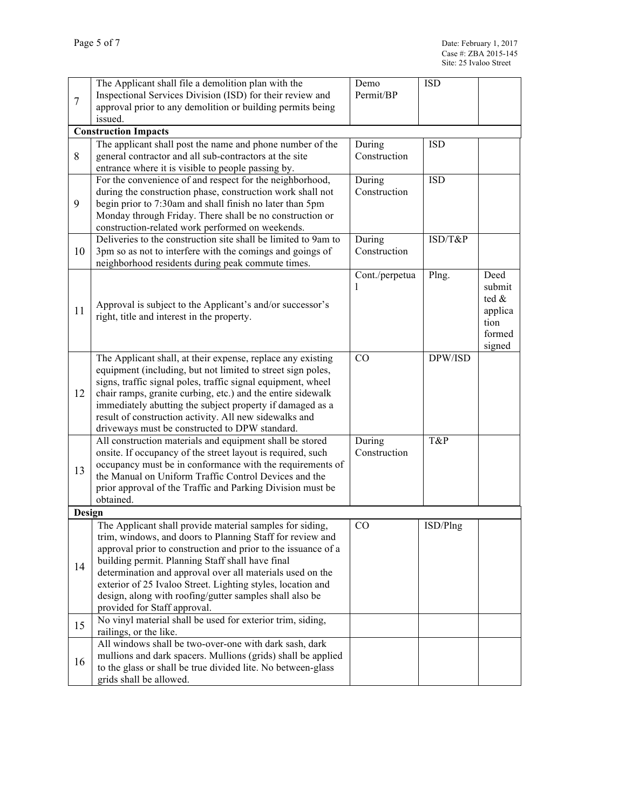| $\overline{7}$ | The Applicant shall file a demolition plan with the                                                                        | Demo                   | <b>ISD</b> |         |
|----------------|----------------------------------------------------------------------------------------------------------------------------|------------------------|------------|---------|
|                | Inspectional Services Division (ISD) for their review and                                                                  | Permit/BP              |            |         |
|                | approval prior to any demolition or building permits being                                                                 |                        |            |         |
|                | issued.                                                                                                                    |                        |            |         |
|                | <b>Construction Impacts</b>                                                                                                |                        |            |         |
| 8              | The applicant shall post the name and phone number of the                                                                  | During                 | <b>ISD</b> |         |
|                | general contractor and all sub-contractors at the site                                                                     | Construction           |            |         |
|                | entrance where it is visible to people passing by.                                                                         |                        |            |         |
|                | For the convenience of and respect for the neighborhood,                                                                   | During                 | <b>ISD</b> |         |
|                | during the construction phase, construction work shall not                                                                 | Construction           |            |         |
| 9              | begin prior to 7:30am and shall finish no later than 5pm                                                                   |                        |            |         |
|                | Monday through Friday. There shall be no construction or                                                                   |                        |            |         |
|                | construction-related work performed on weekends.                                                                           |                        |            |         |
| 10             | Deliveries to the construction site shall be limited to 9am to                                                             | During<br>Construction | ISD/T&P    |         |
|                | 3pm so as not to interfere with the comings and goings of<br>neighborhood residents during peak commute times.             |                        |            |         |
|                |                                                                                                                            | Cont./perpetua         | Plng.      | Deed    |
|                |                                                                                                                            | L                      |            | submit  |
|                |                                                                                                                            |                        |            | ted &   |
| 11             | Approval is subject to the Applicant's and/or successor's                                                                  |                        |            | applica |
|                | right, title and interest in the property.                                                                                 |                        |            | tion    |
|                |                                                                                                                            |                        |            | formed  |
|                |                                                                                                                            |                        |            | signed  |
|                | The Applicant shall, at their expense, replace any existing                                                                | CO                     | DPW/ISD    |         |
|                | equipment (including, but not limited to street sign poles,                                                                |                        |            |         |
|                | signs, traffic signal poles, traffic signal equipment, wheel                                                               |                        |            |         |
| 12             | chair ramps, granite curbing, etc.) and the entire sidewalk                                                                |                        |            |         |
|                | immediately abutting the subject property if damaged as a                                                                  |                        |            |         |
|                | result of construction activity. All new sidewalks and                                                                     |                        |            |         |
|                | driveways must be constructed to DPW standard.                                                                             |                        |            |         |
|                | All construction materials and equipment shall be stored                                                                   | During                 | T&P        |         |
|                | onsite. If occupancy of the street layout is required, such                                                                | Construction           |            |         |
| 13             | occupancy must be in conformance with the requirements of                                                                  |                        |            |         |
|                | the Manual on Uniform Traffic Control Devices and the                                                                      |                        |            |         |
|                | prior approval of the Traffic and Parking Division must be<br>obtained.                                                    |                        |            |         |
| Design         |                                                                                                                            |                        |            |         |
|                | The Applicant shall provide material samples for siding,                                                                   | CO                     | ISD/Plng   |         |
|                |                                                                                                                            |                        |            |         |
|                | trim, windows, and doors to Planning Staff for review and<br>approval prior to construction and prior to the issuance of a |                        |            |         |
|                | building permit. Planning Staff shall have final                                                                           |                        |            |         |
| 14             | determination and approval over all materials used on the                                                                  |                        |            |         |
|                | exterior of 25 Ivaloo Street. Lighting styles, location and                                                                |                        |            |         |
|                | design, along with roofing/gutter samples shall also be                                                                    |                        |            |         |
|                | provided for Staff approval.                                                                                               |                        |            |         |
|                | No vinyl material shall be used for exterior trim, siding,                                                                 |                        |            |         |
| 15             | railings, or the like.                                                                                                     |                        |            |         |
| 16             | All windows shall be two-over-one with dark sash, dark                                                                     |                        |            |         |
|                | mullions and dark spacers. Mullions (grids) shall be applied                                                               |                        |            |         |
|                | to the glass or shall be true divided lite. No between-glass                                                               |                        |            |         |
|                | grids shall be allowed.                                                                                                    |                        |            |         |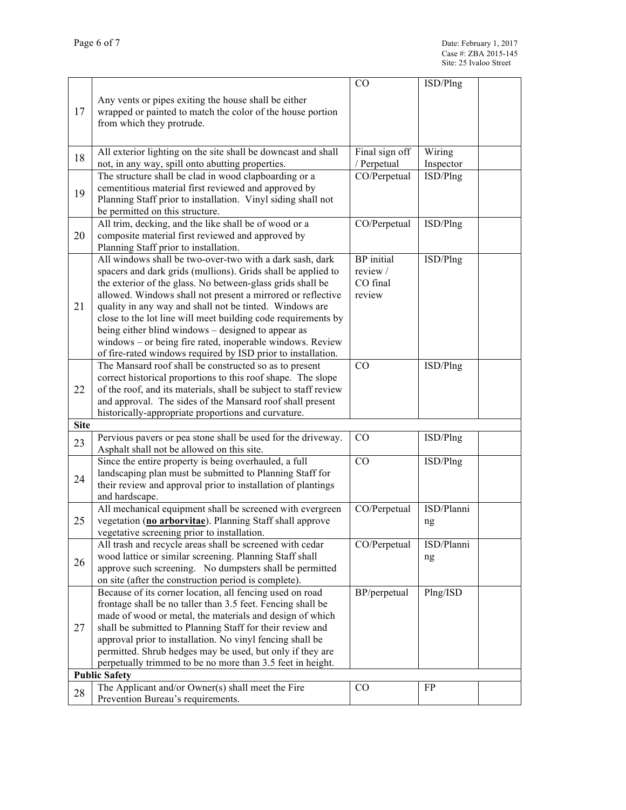|                      |                                                                                                           | CO                          | ISD/Plng              |  |
|----------------------|-----------------------------------------------------------------------------------------------------------|-----------------------------|-----------------------|--|
| 17                   | Any vents or pipes exiting the house shall be either                                                      |                             |                       |  |
|                      | wrapped or painted to match the color of the house portion                                                |                             |                       |  |
|                      | from which they protrude.                                                                                 |                             |                       |  |
|                      |                                                                                                           |                             |                       |  |
|                      |                                                                                                           |                             |                       |  |
| 18                   | All exterior lighting on the site shall be downcast and shall                                             | Final sign off              | Wiring                |  |
|                      | not, in any way, spill onto abutting properties.<br>The structure shall be clad in wood clapboarding or a | / Perpetual<br>CO/Perpetual | Inspector<br>ISD/Plng |  |
|                      | cementitious material first reviewed and approved by                                                      |                             |                       |  |
| 19                   | Planning Staff prior to installation. Vinyl siding shall not                                              |                             |                       |  |
|                      | be permitted on this structure.                                                                           |                             |                       |  |
|                      | All trim, decking, and the like shall be of wood or a                                                     | CO/Perpetual                | ISD/Plng              |  |
| 20                   | composite material first reviewed and approved by                                                         |                             |                       |  |
|                      | Planning Staff prior to installation.                                                                     |                             |                       |  |
|                      | All windows shall be two-over-two with a dark sash, dark                                                  | <b>BP</b> initial           | ISD/Plng              |  |
|                      | spacers and dark grids (mullions). Grids shall be applied to                                              | review $/$                  |                       |  |
|                      | the exterior of the glass. No between-glass grids shall be                                                | CO final                    |                       |  |
|                      | allowed. Windows shall not present a mirrored or reflective                                               | review                      |                       |  |
| 21                   | quality in any way and shall not be tinted. Windows are                                                   |                             |                       |  |
|                      | close to the lot line will meet building code requirements by                                             |                             |                       |  |
|                      | being either blind windows – designed to appear as                                                        |                             |                       |  |
|                      | windows – or being fire rated, inoperable windows. Review                                                 |                             |                       |  |
|                      | of fire-rated windows required by ISD prior to installation.                                              |                             |                       |  |
|                      | The Mansard roof shall be constructed so as to present                                                    | CO                          | ISD/Plng              |  |
|                      | correct historical proportions to this roof shape. The slope                                              |                             |                       |  |
| 22                   | of the roof, and its materials, shall be subject to staff review                                          |                             |                       |  |
|                      | and approval. The sides of the Mansard roof shall present                                                 |                             |                       |  |
|                      | historically-appropriate proportions and curvature.                                                       |                             |                       |  |
| <b>Site</b>          |                                                                                                           |                             |                       |  |
| 23                   | Pervious pavers or pea stone shall be used for the driveway.                                              | $\rm CO$                    | ISD/Plng              |  |
|                      | Asphalt shall not be allowed on this site.                                                                |                             |                       |  |
|                      | Since the entire property is being overhauled, a full                                                     | CO                          | ISD/Plng              |  |
| 24                   | landscaping plan must be submitted to Planning Staff for                                                  |                             |                       |  |
|                      | their review and approval prior to installation of plantings<br>and hardscape.                            |                             |                       |  |
|                      | All mechanical equipment shall be screened with evergreen                                                 | CO/Perpetual                | ISD/Planni            |  |
| 25                   | vegetation (no arborvitae). Planning Staff shall approve                                                  |                             |                       |  |
|                      | vegetative screening prior to installation.                                                               |                             | ng                    |  |
|                      | All trash and recycle areas shall be screened with cedar                                                  | CO/Perpetual                | ISD/Planni            |  |
|                      | wood lattice or similar screening. Planning Staff shall                                                   |                             | ng                    |  |
| 26                   | approve such screening. No dumpsters shall be permitted                                                   |                             |                       |  |
|                      | on site (after the construction period is complete).                                                      |                             |                       |  |
|                      | Because of its corner location, all fencing used on road                                                  | BP/perpetual                | Plng/ISD              |  |
|                      | frontage shall be no taller than 3.5 feet. Fencing shall be                                               |                             |                       |  |
|                      | made of wood or metal, the materials and design of which                                                  |                             |                       |  |
| 27                   | shall be submitted to Planning Staff for their review and                                                 |                             |                       |  |
|                      | approval prior to installation. No vinyl fencing shall be                                                 |                             |                       |  |
|                      | permitted. Shrub hedges may be used, but only if they are                                                 |                             |                       |  |
|                      | perpetually trimmed to be no more than 3.5 feet in height.                                                |                             |                       |  |
| <b>Public Safety</b> |                                                                                                           |                             |                       |  |
| 28                   | The Applicant and/or Owner(s) shall meet the Fire                                                         | CO                          | FP                    |  |
|                      | Prevention Bureau's requirements.                                                                         |                             |                       |  |